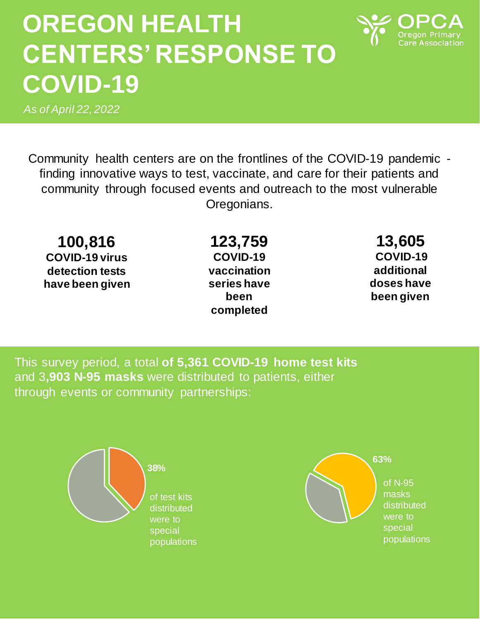## **OREGON HEALTH CENTERS' RESPONSE TO COVID-19**

*As of April 22, 2022*

Community health centers are on the frontlines of the COVID-19 pandemic finding innovative ways to test, vaccinate, and care for their patients and community through focused events and outreach to the most vulnerable Oregonians.

**100,816 COVID-19 virus detection tests have been given**

**123,759 COVID-19 vaccination series have been completed**

**13,605 COVID-19 additional doses have been given**

This survey period, a total **of 5,361 COVID-19 home test kits**  and 3**,903 N-95 masks** were distributed to patients, either through events or community partnerships:



of N-95 masks distributed were to special populations